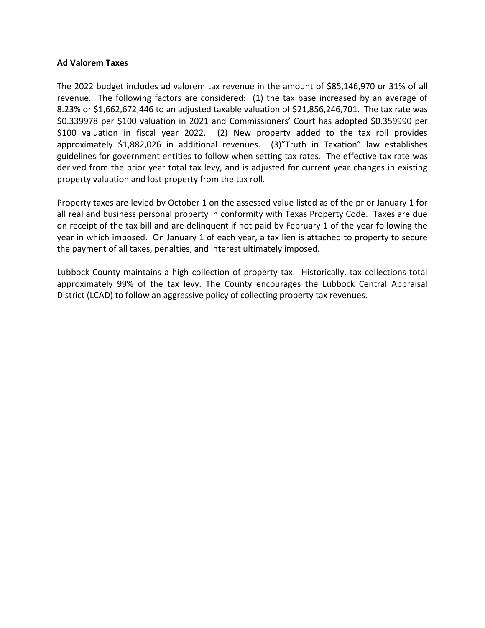## **Ad Valorem Taxes**

The 2022 budget includes ad valorem tax revenue in the amount of \$85,146,970 or 31% of all revenue. The following factors are considered: (1) the tax base increased by an average of 8.23% or \$1,662,672,446 to an adjusted taxable valuation of \$21,856,246,701. The tax rate was \$0.339978 per \$100 valuation in 2021 and Commissioners' Court has adopted \$0.359990 per \$100 valuation in fiscal year 2022. (2) New property added to the tax roll provides approximately \$1,882,026 in additional revenues. (3)"Truth in Taxation" law establishes guidelines for government entities to follow when setting tax rates. The effective tax rate was derived from the prior year total tax levy, and is adjusted for current year changes in existing property valuation and lost property from the tax roll.

Property taxes are levied by October 1 on the assessed value listed as of the prior January 1 for all real and business personal property in conformity with Texas Property Code. Taxes are due on receipt of the tax bill and are delinquent if not paid by February 1 of the year following the year in which imposed. On January 1 of each year, a tax lien is attached to property to secure the payment of all taxes, penalties, and interest ultimately imposed.

Lubbock County maintains a high collection of property tax. Historically, tax collections total approximately 99% of the tax levy. The County encourages the Lubbock Central Appraisal District (LCAD) to follow an aggressive policy of collecting property tax revenues.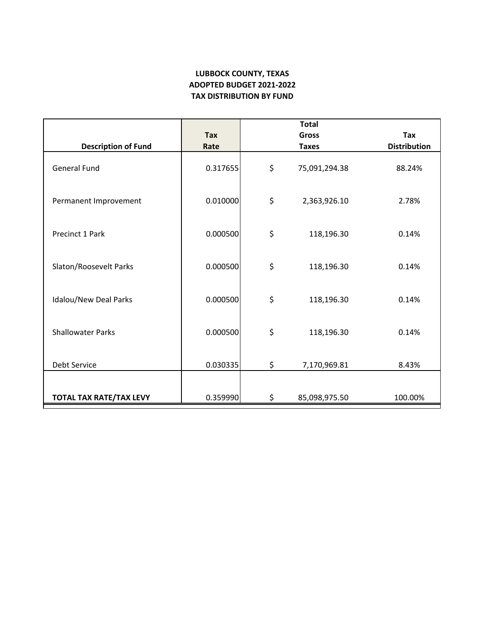# **LUBBOCK COUNTY, TEXAS ADOPTED BUDGET 2021‐2022 TAX DISTRIBUTION BY FUND**

|                            |            | <b>Total</b> |               |                     |  |  |  |  |
|----------------------------|------------|--------------|---------------|---------------------|--|--|--|--|
|                            | <b>Tax</b> |              | <b>Gross</b>  | Tax                 |  |  |  |  |
| <b>Description of Fund</b> | Rate       |              | <b>Taxes</b>  | <b>Distribution</b> |  |  |  |  |
| <b>General Fund</b>        | 0.317655   | \$           | 75,091,294.38 | 88.24%              |  |  |  |  |
| Permanent Improvement      | 0.010000   | \$           | 2,363,926.10  | 2.78%               |  |  |  |  |
| Precinct 1 Park            | 0.000500   | \$           | 118,196.30    | 0.14%               |  |  |  |  |
| Slaton/Roosevelt Parks     | 0.000500   | \$           | 118,196.30    | 0.14%               |  |  |  |  |
| Idalou/New Deal Parks      | 0.000500   | \$           | 118,196.30    | 0.14%               |  |  |  |  |
| <b>Shallowater Parks</b>   | 0.000500   | \$           | 118,196.30    | 0.14%               |  |  |  |  |
| Debt Service               | 0.030335   | \$           | 7,170,969.81  | 8.43%               |  |  |  |  |
| TOTAL TAX RATE/TAX LEVY    | 0.359990   | \$           | 85,098,975.50 | 100.00%             |  |  |  |  |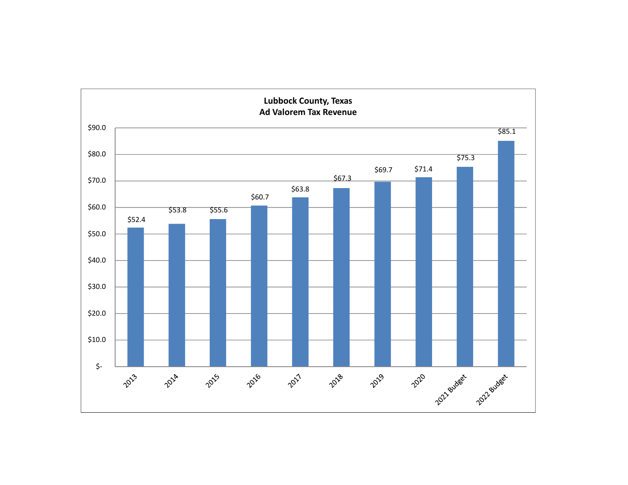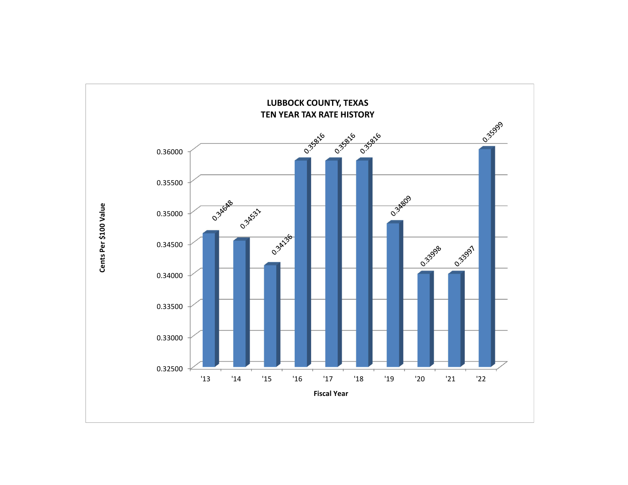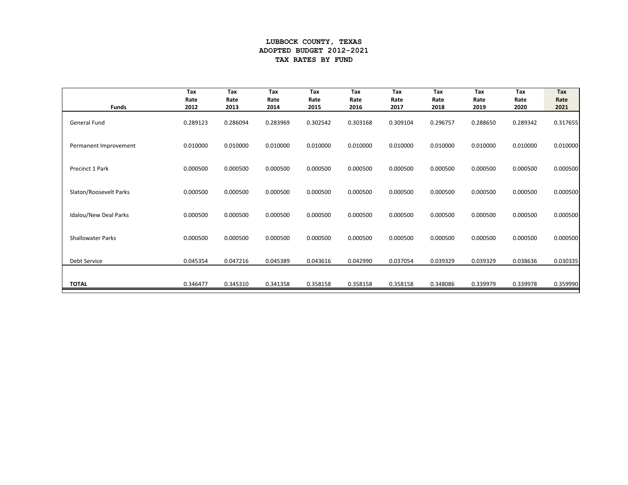#### **LUBBOCK COUNTY, TEXAS ADOPTED BUDGET 2012-2021 TAX RATES BY FUND**

|                          | Tax          | Tax          | Tax          | Tax          | Tax          | Tax          | Tax          | Tax          | Tax          | Tax          |
|--------------------------|--------------|--------------|--------------|--------------|--------------|--------------|--------------|--------------|--------------|--------------|
| <b>Funds</b>             | Rate<br>2012 | Rate<br>2013 | Rate<br>2014 | Rate<br>2015 | Rate<br>2016 | Rate<br>2017 | Rate<br>2018 | Rate<br>2019 | Rate<br>2020 | Rate<br>2021 |
| <b>General Fund</b>      | 0.289123     | 0.286094     | 0.283969     | 0.302542     | 0.303168     | 0.309104     | 0.296757     | 0.288650     | 0.289342     | 0.317655     |
| Permanent Improvement    | 0.010000     | 0.010000     | 0.010000     | 0.010000     | 0.010000     | 0.010000     | 0.010000     | 0.010000     | 0.010000     | 0.010000     |
| Precinct 1 Park          | 0.000500     | 0.000500     | 0.000500     | 0.000500     | 0.000500     | 0.000500     | 0.000500     | 0.000500     | 0.000500     | 0.000500     |
| Slaton/Roosevelt Parks   | 0.000500     | 0.000500     | 0.000500     | 0.000500     | 0.000500     | 0.000500     | 0.000500     | 0.000500     | 0.000500     | 0.000500     |
| Idalou/New Deal Parks    | 0.000500     | 0.000500     | 0.000500     | 0.000500     | 0.000500     | 0.000500     | 0.000500     | 0.000500     | 0.000500     | 0.000500     |
| <b>Shallowater Parks</b> | 0.000500     | 0.000500     | 0.000500     | 0.000500     | 0.000500     | 0.000500     | 0.000500     | 0.000500     | 0.000500     | 0.000500     |
| Debt Service             | 0.045354     | 0.047216     | 0.045389     | 0.043616     | 0.042990     | 0.037054     | 0.039329     | 0.039329     | 0.038636     | 0.030335     |
| <b>TOTAL</b>             | 0.346477     | 0.345310     | 0.341358     | 0.358158     | 0.358158     | 0.358158     | 0.348086     | 0.339979     | 0.339978     | 0.359990     |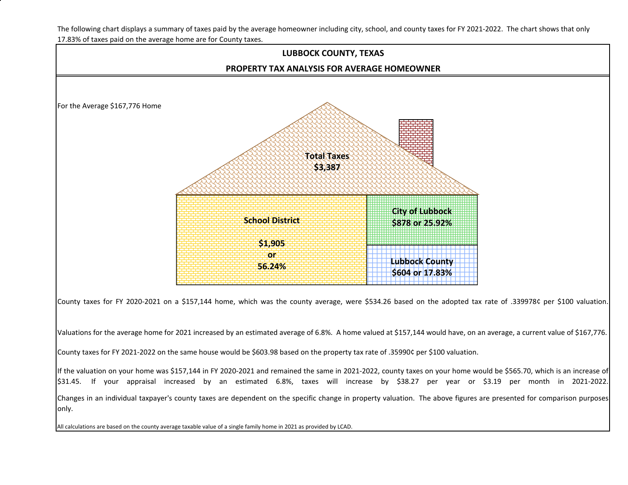The following chart displays <sup>a</sup> summary of taxes paid by the average homeowner including city, school, and county taxes for FY 2021‐2022. The chart shows that only 17.83% of taxes paid on the average home are for County taxes.

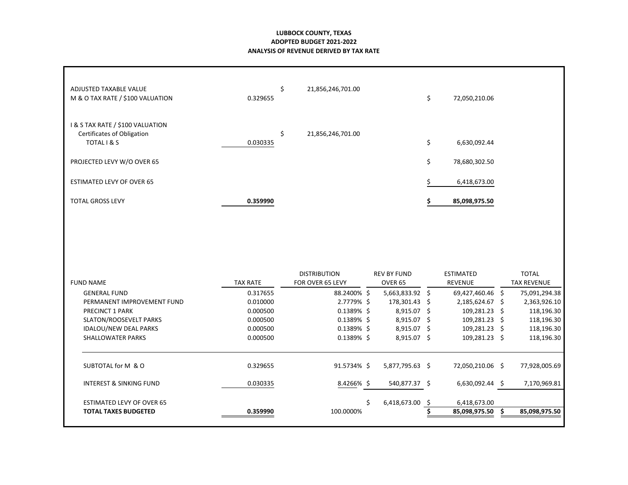#### **LUBBOCK COUNTY, TEXAS ADOPTED BUDGET 2021‐2022 ANALYSIS OF REVENUE DERIVED BY TAX RATE**

| ADJUSTED TAXABLE VALUE<br>M & O TAX RATE / \$100 VALUATION                    | 0.329655        | \$<br>21,856,246,701.00                 |                                          | \$ | 72,050,210.06                      |                                    |
|-------------------------------------------------------------------------------|-----------------|-----------------------------------------|------------------------------------------|----|------------------------------------|------------------------------------|
| I & S TAX RATE / \$100 VALUATION<br>Certificates of Obligation<br>TOTAL I & S | 0.030335        | \$<br>21,856,246,701.00                 |                                          | \$ | 6,630,092.44                       |                                    |
| PROJECTED LEVY W/O OVER 65                                                    |                 |                                         |                                          | \$ | 78,680,302.50                      |                                    |
| <b>ESTIMATED LEVY OF OVER 65</b>                                              |                 |                                         |                                          |    | 6,418,673.00                       |                                    |
| <b>TOTAL GROSS LEVY</b>                                                       | 0.359990        |                                         |                                          | S  | 85,098,975.50                      |                                    |
| <b>FUND NAME</b>                                                              | <b>TAX RATE</b> | <b>DISTRIBUTION</b><br>FOR OVER 65 LEVY | <b>REV BY FUND</b><br>OVER <sub>65</sub> |    | <b>ESTIMATED</b><br><b>REVENUE</b> | <b>TOTAL</b><br><b>TAX REVENUE</b> |
| <b>GENERAL FUND</b>                                                           | 0.317655        | 88.2400% \$                             | 5,663,833.92 \$                          |    | 69,427,460.46 \$                   | 75,091,294.38                      |
| PERMANENT IMPROVEMENT FUND                                                    | 0.010000        | 2.7779%\$                               | 178,301.43 \$                            |    | 2,185,624.67 \$                    | 2,363,926.10                       |
| PRECINCT 1 PARK                                                               |                 |                                         | 8,915.07 \$                              |    | 109,281.23 \$                      | 118,196.30                         |
|                                                                               | 0.000500        | $0.1389%$ \$                            |                                          |    |                                    |                                    |
| SLATON/ROOSEVELT PARKS                                                        | 0.000500        | $0.1389%$ \$                            | 8,915.07 \$                              |    | 109,281.23 \$                      | 118,196.30                         |
| IDALOU/NEW DEAL PARKS                                                         | 0.000500        | $0.1389%$ \$                            | 8,915.07 \$                              |    | 109,281.23 \$                      | 118,196.30                         |
| <b>SHALLOWATER PARKS</b>                                                      | 0.000500        | $0.1389%$ \$                            | 8,915.07 \$                              |    | 109,281.23 \$                      | 118,196.30                         |
| SUBTOTAL for M & O                                                            | 0.329655        | 91.5734%\$                              | 5,877,795.63 \$                          |    | 72,050,210.06 \$                   | 77,928,005.69                      |

ESTIMATED LEVY OF OVER 65 6,418,673.00 \$ \$ 6,418,673.00

0.359990 100.0000%

**\$ 85,098,975.50 \$ 85,098,975.50**

**TOTAL TAXES BUDGETED 0.359990**